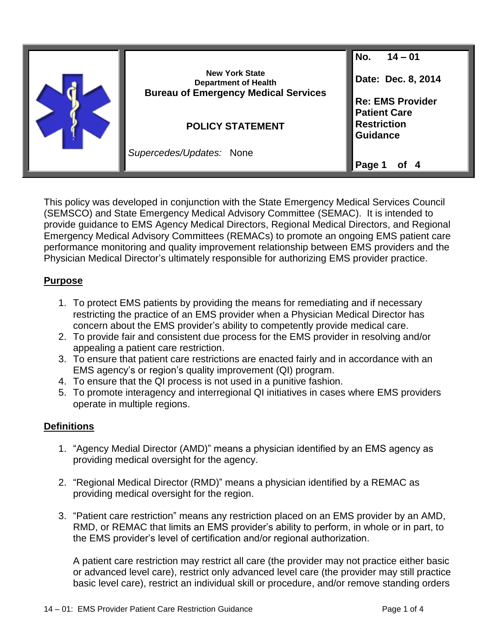| <b>New York State</b><br><b>Department of Health</b><br><b>Bureau of Emergency Medical Services</b><br><b>POLICY STATEMENT</b> | No.<br>$14 - 01$<br>Date: Dec. 8, 2014<br><b>Re: EMS Provider</b><br><b>Patient Care</b><br><b>Restriction</b><br><b>Guidance</b> |
|--------------------------------------------------------------------------------------------------------------------------------|-----------------------------------------------------------------------------------------------------------------------------------|
| Supercedes/Updates: None                                                                                                       | Page                                                                                                                              |

This policy was developed in conjunction with the State Emergency Medical Services Council (SEMSCO) and State Emergency Medical Advisory Committee (SEMAC). It is intended to provide guidance to EMS Agency Medical Directors, Regional Medical Directors, and Regional Emergency Medical Advisory Committees (REMACs) to promote an ongoing EMS patient care performance monitoring and quality improvement relationship between EMS providers and the Physician Medical Director's ultimately responsible for authorizing EMS provider practice.

## **Purpose**

- 1. To protect EMS patients by providing the means for remediating and if necessary restricting the practice of an EMS provider when a Physician Medical Director has concern about the EMS provider's ability to competently provide medical care.
- 2. To provide fair and consistent due process for the EMS provider in resolving and/or appealing a patient care restriction.
- 3. To ensure that patient care restrictions are enacted fairly and in accordance with an EMS agency's or region's quality improvement (QI) program.
- 4. To ensure that the QI process is not used in a punitive fashion.
- 5. To promote interagency and interregional QI initiatives in cases where EMS providers operate in multiple regions.

## **Definitions**

- 1. "Agency Medial Director (AMD)" means a physician identified by an EMS agency as providing medical oversight for the agency.
- 2. "Regional Medical Director (RMD)" means a physician identified by a REMAC as providing medical oversight for the region.
- 3. "Patient care restriction" means any restriction placed on an EMS provider by an AMD, RMD, or REMAC that limits an EMS provider's ability to perform, in whole or in part, to the EMS provider's level of certification and/or regional authorization.

A patient care restriction may restrict all care (the provider may not practice either basic or advanced level care), restrict only advanced level care (the provider may still practice basic level care), restrict an individual skill or procedure, and/or remove standing orders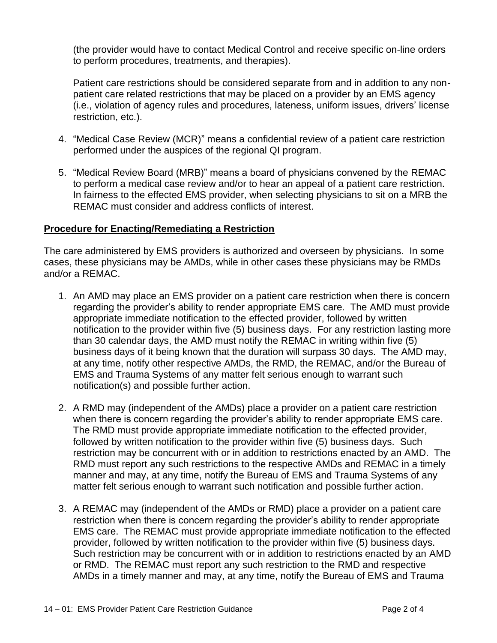(the provider would have to contact Medical Control and receive specific on-line orders to perform procedures, treatments, and therapies).

Patient care restrictions should be considered separate from and in addition to any nonpatient care related restrictions that may be placed on a provider by an EMS agency (i.e., violation of agency rules and procedures, lateness, uniform issues, drivers' license restriction, etc.).

- 4. "Medical Case Review (MCR)" means a confidential review of a patient care restriction performed under the auspices of the regional QI program.
- 5. "Medical Review Board (MRB)" means a board of physicians convened by the REMAC to perform a medical case review and/or to hear an appeal of a patient care restriction. In fairness to the effected EMS provider, when selecting physicians to sit on a MRB the REMAC must consider and address conflicts of interest.

## **Procedure for Enacting/Remediating a Restriction**

The care administered by EMS providers is authorized and overseen by physicians. In some cases, these physicians may be AMDs, while in other cases these physicians may be RMDs and/or a REMAC.

- 1. An AMD may place an EMS provider on a patient care restriction when there is concern regarding the provider's ability to render appropriate EMS care. The AMD must provide appropriate immediate notification to the effected provider, followed by written notification to the provider within five (5) business days. For any restriction lasting more than 30 calendar days, the AMD must notify the REMAC in writing within five (5) business days of it being known that the duration will surpass 30 days. The AMD may, at any time, notify other respective AMDs, the RMD, the REMAC, and/or the Bureau of EMS and Trauma Systems of any matter felt serious enough to warrant such notification(s) and possible further action.
- 2. A RMD may (independent of the AMDs) place a provider on a patient care restriction when there is concern regarding the provider's ability to render appropriate EMS care. The RMD must provide appropriate immediate notification to the effected provider, followed by written notification to the provider within five (5) business days. Such restriction may be concurrent with or in addition to restrictions enacted by an AMD. The RMD must report any such restrictions to the respective AMDs and REMAC in a timely manner and may, at any time, notify the Bureau of EMS and Trauma Systems of any matter felt serious enough to warrant such notification and possible further action.
- 3. A REMAC may (independent of the AMDs or RMD) place a provider on a patient care restriction when there is concern regarding the provider's ability to render appropriate EMS care. The REMAC must provide appropriate immediate notification to the effected provider, followed by written notification to the provider within five (5) business days. Such restriction may be concurrent with or in addition to restrictions enacted by an AMD or RMD. The REMAC must report any such restriction to the RMD and respective AMDs in a timely manner and may, at any time, notify the Bureau of EMS and Trauma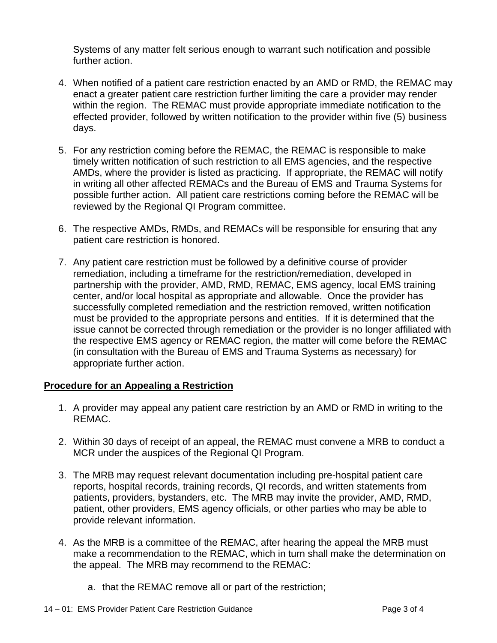Systems of any matter felt serious enough to warrant such notification and possible further action.

- 4. When notified of a patient care restriction enacted by an AMD or RMD, the REMAC may enact a greater patient care restriction further limiting the care a provider may render within the region. The REMAC must provide appropriate immediate notification to the effected provider, followed by written notification to the provider within five (5) business days.
- 5. For any restriction coming before the REMAC, the REMAC is responsible to make timely written notification of such restriction to all EMS agencies, and the respective AMDs, where the provider is listed as practicing. If appropriate, the REMAC will notify in writing all other affected REMACs and the Bureau of EMS and Trauma Systems for possible further action. All patient care restrictions coming before the REMAC will be reviewed by the Regional QI Program committee.
- 6. The respective AMDs, RMDs, and REMACs will be responsible for ensuring that any patient care restriction is honored.
- 7. Any patient care restriction must be followed by a definitive course of provider remediation, including a timeframe for the restriction/remediation, developed in partnership with the provider, AMD, RMD, REMAC, EMS agency, local EMS training center, and/or local hospital as appropriate and allowable. Once the provider has successfully completed remediation and the restriction removed, written notification must be provided to the appropriate persons and entities. If it is determined that the issue cannot be corrected through remediation or the provider is no longer affiliated with the respective EMS agency or REMAC region, the matter will come before the REMAC (in consultation with the Bureau of EMS and Trauma Systems as necessary) for appropriate further action.

## **Procedure for an Appealing a Restriction**

- 1. A provider may appeal any patient care restriction by an AMD or RMD in writing to the REMAC.
- 2. Within 30 days of receipt of an appeal, the REMAC must convene a MRB to conduct a MCR under the auspices of the Regional QI Program.
- 3. The MRB may request relevant documentation including pre-hospital patient care reports, hospital records, training records, QI records, and written statements from patients, providers, bystanders, etc. The MRB may invite the provider, AMD, RMD, patient, other providers, EMS agency officials, or other parties who may be able to provide relevant information.
- 4. As the MRB is a committee of the REMAC, after hearing the appeal the MRB must make a recommendation to the REMAC, which in turn shall make the determination on the appeal. The MRB may recommend to the REMAC:
	- a. that the REMAC remove all or part of the restriction;